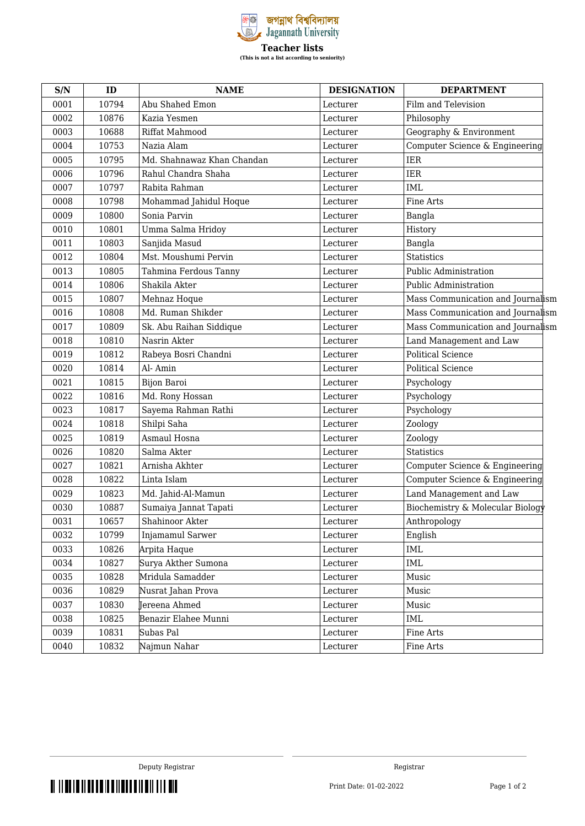

| S/N  | ID    | <b>NAME</b>                | <b>DESIGNATION</b> | <b>DEPARTMENT</b>                 |
|------|-------|----------------------------|--------------------|-----------------------------------|
| 0001 | 10794 | Abu Shahed Emon            | Lecturer           | Film and Television               |
| 0002 | 10876 | Kazia Yesmen               | Lecturer           | Philosophy                        |
| 0003 | 10688 | Riffat Mahmood             | Lecturer           | Geography & Environment           |
| 0004 | 10753 | Nazia Alam                 | Lecturer           | Computer Science & Engineering    |
| 0005 | 10795 | Md. Shahnawaz Khan Chandan | Lecturer           | <b>IER</b>                        |
| 0006 | 10796 | Rahul Chandra Shaha        | Lecturer           | <b>IER</b>                        |
| 0007 | 10797 | Rabita Rahman              | Lecturer           | <b>IML</b>                        |
| 0008 | 10798 | Mohammad Jahidul Hoque     | Lecturer           | Fine Arts                         |
| 0009 | 10800 | Sonia Parvin               | Lecturer           | Bangla                            |
| 0010 | 10801 | Umma Salma Hridoy          | Lecturer           | History                           |
| 0011 | 10803 | Sanjida Masud              | Lecturer           | Bangla                            |
| 0012 | 10804 | Mst. Moushumi Pervin       | Lecturer           | <b>Statistics</b>                 |
| 0013 | 10805 | Tahmina Ferdous Tanny      | Lecturer           | Public Administration             |
| 0014 | 10806 | Shakila Akter              | Lecturer           | Public Administration             |
| 0015 | 10807 | Mehnaz Hoque               | Lecturer           | Mass Communication and Journalism |
| 0016 | 10808 | Md. Ruman Shikder          | Lecturer           | Mass Communication and Journalism |
| 0017 | 10809 | Sk. Abu Raihan Siddique    | Lecturer           | Mass Communication and Journalism |
| 0018 | 10810 | Nasrin Akter               | Lecturer           | Land Management and Law           |
| 0019 | 10812 | Rabeya Bosri Chandni       | Lecturer           | <b>Political Science</b>          |
| 0020 | 10814 | Al-Amin                    | Lecturer           | <b>Political Science</b>          |
| 0021 | 10815 | Bijon Baroi                | Lecturer           | Psychology                        |
| 0022 | 10816 | Md. Rony Hossan            | Lecturer           | Psychology                        |
| 0023 | 10817 | Sayema Rahman Rathi        | Lecturer           | Psychology                        |
| 0024 | 10818 | Shilpi Saha                | Lecturer           | Zoology                           |
| 0025 | 10819 | Asmaul Hosna               | Lecturer           | Zoology                           |
| 0026 | 10820 | Salma Akter                | Lecturer           | <b>Statistics</b>                 |
| 0027 | 10821 | Arnisha Akhter             | Lecturer           | Computer Science & Engineering    |
| 0028 | 10822 | Linta Islam                | Lecturer           | Computer Science & Engineering    |
| 0029 | 10823 | Md. Jahid-Al-Mamun         | Lecturer           | Land Management and Law           |
| 0030 | 10887 | Sumaiya Jannat Tapati      | Lecturer           | Biochemistry & Molecular Biology  |
| 0031 | 10657 | Shahinoor Akter            | Lecturer           | Anthropology                      |
| 0032 | 10799 | Injamamul Sarwer           | Lecturer           | English                           |
| 0033 | 10826 | Arpita Haque               | Lecturer           | IML                               |
| 0034 | 10827 | Surya Akther Sumona        | Lecturer           | IML                               |
| 0035 | 10828 | Mridula Samadder           | Lecturer           | Music                             |
| 0036 | 10829 | Nusrat Jahan Prova         | Lecturer           | Music                             |
| 0037 | 10830 | Jereena Ahmed              | Lecturer           | Music                             |
| 0038 | 10825 | Benazir Elahee Munni       | Lecturer           | IML                               |
| 0039 | 10831 | Subas Pal                  | Lecturer           | Fine Arts                         |
| 0040 | 10832 | Najmun Nahar               | Lecturer           | Fine Arts                         |
|      |       |                            |                    |                                   |